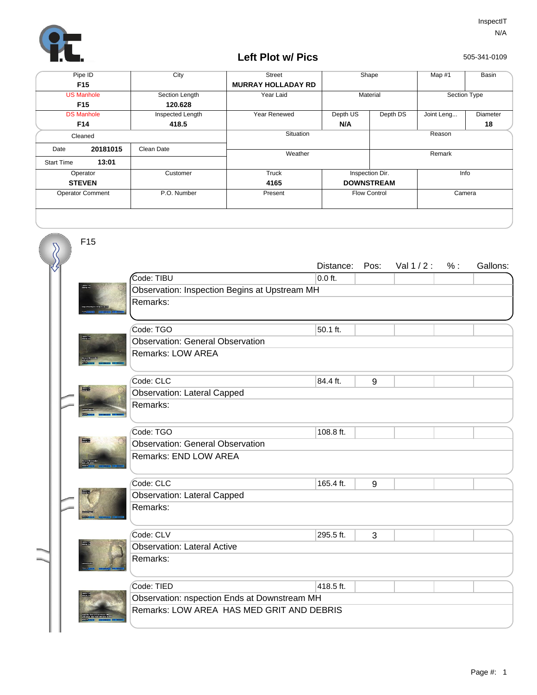

F15

## **Left Plot w/ Pics**

505-341-0109

| Pipe ID                 |          | City             | <b>Street</b>             | Shape               |          | Map $#1$     | Basin    |
|-------------------------|----------|------------------|---------------------------|---------------------|----------|--------------|----------|
| F <sub>15</sub>         |          |                  | <b>MURRAY HOLLADAY RD</b> |                     |          |              |          |
| <b>US Manhole</b>       |          | Section Length   | Year Laid                 | Material            |          | Section Type |          |
| F <sub>15</sub>         |          | 120.628          |                           |                     |          |              |          |
| <b>DS Manhole</b>       |          | Inspected Length | Year Renewed              | Depth US            | Depth DS | Joint Leng   | Diameter |
| F14                     |          | 418.5            |                           | N/A                 |          |              | 18       |
| Cleaned                 |          |                  | Situation                 |                     | Reason   |              |          |
| Date                    | 20181015 | Clean Date       | Weather                   |                     |          | Remark       |          |
| <b>Start Time</b>       | 13:01    |                  |                           |                     |          |              |          |
| Operator                |          | Customer         | Truck                     | Inspection Dir.     |          | Info         |          |
| <b>STEVEN</b>           |          |                  | 4165                      | <b>DOWNSTREAM</b>   |          |              |          |
| <b>Operator Comment</b> |          | P.O. Number      | Present                   | <b>Flow Control</b> |          | Camera       |          |
|                         |          |                  |                           |                     |          |              |          |

|  |  | F15    |                                               |           |      |             |     |          |  |  |
|--|--|--------|-----------------------------------------------|-----------|------|-------------|-----|----------|--|--|
|  |  |        |                                               | Distance: | Pos: | Val $1/2$ : | % : | Gallons: |  |  |
|  |  |        | Code: TIBU                                    | $0.0$ ft. |      |             |     |          |  |  |
|  |  |        | Observation: Inspection Begins at Upstream MH |           |      |             |     |          |  |  |
|  |  |        | Remarks:                                      |           |      |             |     |          |  |  |
|  |  |        | Code: TGO                                     | 50.1 ft.  |      |             |     |          |  |  |
|  |  |        | <b>Observation: General Observation</b>       |           |      |             |     |          |  |  |
|  |  |        | Remarks: LOW AREA                             |           |      |             |     |          |  |  |
|  |  |        | Code: CLC                                     | 84.4 ft.  | 9    |             |     |          |  |  |
|  |  | TWO EN | <b>Observation: Lateral Capped</b>            |           |      |             |     |          |  |  |
|  |  |        | Remarks:                                      |           |      |             |     |          |  |  |
|  |  |        | Code: TGO                                     | 108.8 ft. |      |             |     |          |  |  |
|  |  |        | <b>Observation: General Observation</b>       |           |      |             |     |          |  |  |
|  |  |        | Remarks: END LOW AREA                         |           |      |             |     |          |  |  |
|  |  |        | Code: CLC                                     | 165.4 ft. | 9    |             |     |          |  |  |
|  |  |        | <b>Observation: Lateral Capped</b>            |           |      |             |     |          |  |  |
|  |  |        | Remarks:                                      |           |      |             |     |          |  |  |
|  |  |        | Code: CLV                                     | 295.5 ft. | 3    |             |     |          |  |  |
|  |  |        | <b>Observation: Lateral Active</b>            |           |      |             |     |          |  |  |
|  |  |        | Remarks:                                      |           |      |             |     |          |  |  |
|  |  |        | Code: TIED                                    | 418.5 ft. |      |             |     |          |  |  |
|  |  |        | Observation: nspection Ends at Downstream MH  |           |      |             |     |          |  |  |
|  |  |        | Remarks: LOW AREA HAS MED GRIT AND DEBRIS     |           |      |             |     |          |  |  |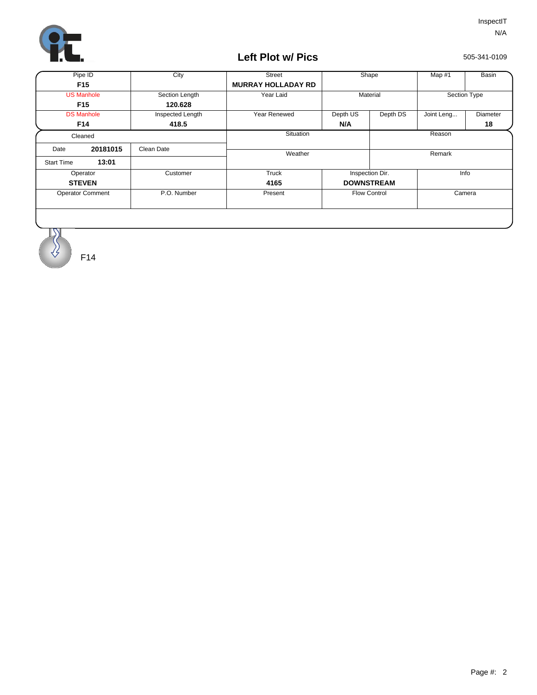

## **Left Plot w/ Pics**

505-341-0109

| Pipe ID                 |          | City             | <b>Street</b>             | Shape                |  | Map #1       | Basin    |
|-------------------------|----------|------------------|---------------------------|----------------------|--|--------------|----------|
| F <sub>15</sub>         |          |                  | <b>MURRAY HOLLADAY RD</b> |                      |  |              |          |
| <b>US Manhole</b>       |          | Section Length   | Year Laid                 | Material             |  | Section Type |          |
| F <sub>15</sub>         |          | 120.628          |                           |                      |  |              |          |
| <b>DS Manhole</b>       |          | Inspected Length | Year Renewed              | Depth US<br>Depth DS |  | Joint Leng   | Diameter |
| F14                     |          | 418.5            |                           | N/A                  |  |              | 18       |
| Cleaned                 |          |                  | Situation                 |                      |  | Reason       |          |
| Date                    | 20181015 | Clean Date       | Weather                   |                      |  | Remark       |          |
| <b>Start Time</b>       | 13:01    |                  |                           |                      |  |              |          |
| Operator                |          | Customer         | Truck                     | Inspection Dir.      |  | Info         |          |
| <b>STEVEN</b>           |          |                  | 4165                      | <b>DOWNSTREAM</b>    |  |              |          |
| <b>Operator Comment</b> |          | P.O. Number      | Present                   | <b>Flow Control</b>  |  | Camera       |          |
|                         |          |                  |                           |                      |  |              |          |
|                         |          |                  |                           |                      |  |              |          |
|                         |          |                  |                           |                      |  |              |          |

F14

 $\overline{\mathcal{S}}$ Ϋ